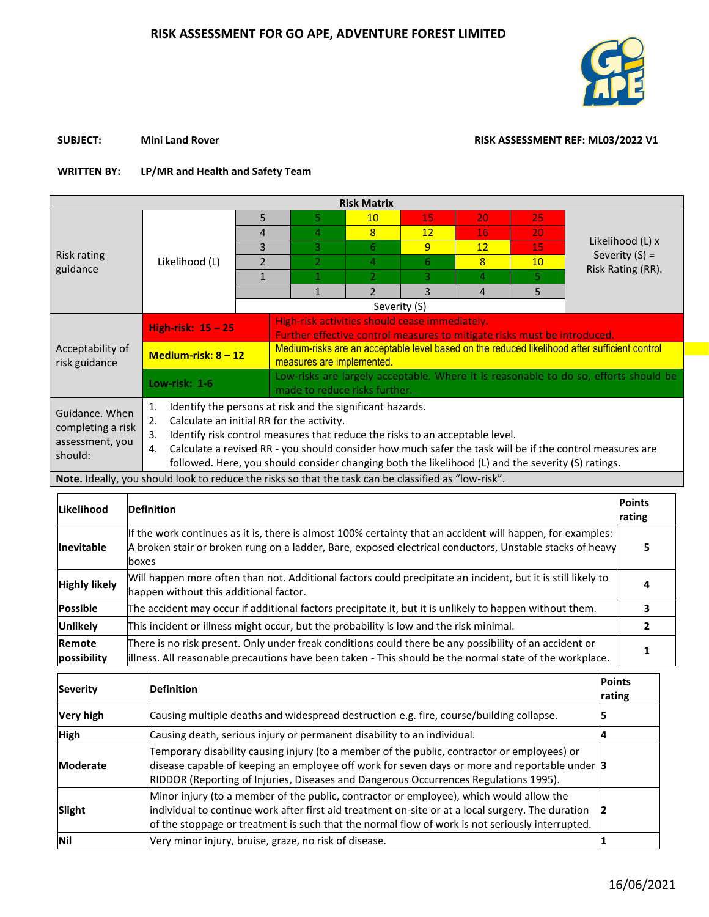

## **SUBJECT:** Mini Land Rover Mini Land Rover RISK ASSESSMENT REF: ML03/2022 V1

## **WRITTEN BY: LP/MR and Health and Safety Team**

| <b>Risk Matrix</b>                                                |                                                                                                                                                                                                                                                                                                                                                                                                                                  |                |                                                                                                                            |                |    |                |    |                                       |  |  |  |  |
|-------------------------------------------------------------------|----------------------------------------------------------------------------------------------------------------------------------------------------------------------------------------------------------------------------------------------------------------------------------------------------------------------------------------------------------------------------------------------------------------------------------|----------------|----------------------------------------------------------------------------------------------------------------------------|----------------|----|----------------|----|---------------------------------------|--|--|--|--|
|                                                                   |                                                                                                                                                                                                                                                                                                                                                                                                                                  | 5              | 5.                                                                                                                         | 10             | 15 | 20             | 25 |                                       |  |  |  |  |
|                                                                   |                                                                                                                                                                                                                                                                                                                                                                                                                                  | 4              | 4                                                                                                                          | 8              | 12 | 16             | 20 |                                       |  |  |  |  |
|                                                                   |                                                                                                                                                                                                                                                                                                                                                                                                                                  | 3              | 3                                                                                                                          | 6              | 9  | 12             | 15 | Likelihood (L) x                      |  |  |  |  |
| Risk rating<br>guidance                                           | Likelihood (L)                                                                                                                                                                                                                                                                                                                                                                                                                   | $\overline{2}$ | $\overline{2}$                                                                                                             | 4              | 6  | $\overline{8}$ | 10 | Severity $(S)$ =<br>Risk Rating (RR). |  |  |  |  |
|                                                                   |                                                                                                                                                                                                                                                                                                                                                                                                                                  | $\mathbf{1}$   | $\overline{1}$                                                                                                             | $\overline{2}$ | 3  | 4              | 5  |                                       |  |  |  |  |
|                                                                   |                                                                                                                                                                                                                                                                                                                                                                                                                                  |                | 1                                                                                                                          | $\mathfrak{p}$ | 3  | 4              | 5  |                                       |  |  |  |  |
|                                                                   |                                                                                                                                                                                                                                                                                                                                                                                                                                  |                |                                                                                                                            |                |    |                |    |                                       |  |  |  |  |
|                                                                   | High-risk: $15 - 25$                                                                                                                                                                                                                                                                                                                                                                                                             |                | High-risk activities should cease immediately.<br>Further effective control measures to mitigate risks must be introduced. |                |    |                |    |                                       |  |  |  |  |
| Acceptability of<br>risk guidance                                 | Medium-risk: $8 - 12$                                                                                                                                                                                                                                                                                                                                                                                                            |                | Medium-risks are an acceptable level based on the reduced likelihood after sufficient control<br>measures are implemented. |                |    |                |    |                                       |  |  |  |  |
|                                                                   | Low-risk: 1-6                                                                                                                                                                                                                                                                                                                                                                                                                    |                | Low-risks are largely acceptable. Where it is reasonable to do so, efforts should be<br>made to reduce risks further.      |                |    |                |    |                                       |  |  |  |  |
| Guidance, When<br>completing a risk<br>assessment, you<br>should: | Identify the persons at risk and the significant hazards.<br>1.<br>Calculate an initial RR for the activity.<br>2.<br>Identify risk control measures that reduce the risks to an acceptable level.<br>3.<br>Calculate a revised RR - you should consider how much safer the task will be if the control measures are<br>4.<br>followed. Here, you should consider changing both the likelihood (L) and the severity (S) ratings. |                |                                                                                                                            |                |    |                |    |                                       |  |  |  |  |
|                                                                   | Note. Ideally, you should look to reduce the risks so that the task can be classified as "low-risk".                                                                                                                                                                                                                                                                                                                             |                |                                                                                                                            |                |    |                |    |                                       |  |  |  |  |

| <b>Likelihood</b>     | <b>Definition</b>                                                                                                                                                                                                               | <b>Points</b><br>rating |
|-----------------------|---------------------------------------------------------------------------------------------------------------------------------------------------------------------------------------------------------------------------------|-------------------------|
| <b>Inevitable</b>     | If the work continues as it is, there is almost 100% certainty that an accident will happen, for examples:<br>A broken stair or broken rung on a ladder, Bare, exposed electrical conductors, Unstable stacks of heavy<br>boxes | 5                       |
| <b>Highly likely</b>  | Will happen more often than not. Additional factors could precipitate an incident, but it is still likely to<br>happen without this additional factor.                                                                          |                         |
| <b>Possible</b>       | The accident may occur if additional factors precipitate it, but it is unlikely to happen without them.                                                                                                                         |                         |
| <b>Unlikely</b>       | This incident or illness might occur, but the probability is low and the risk minimal.                                                                                                                                          |                         |
| Remote<br>possibility | There is no risk present. Only under freak conditions could there be any possibility of an accident or<br>illness. All reasonable precautions have been taken - This should be the normal state of the workplace.               |                         |

| <b>Severity</b>  | <b>Definition</b>                                                                                                                                                                                                                                                                               | <b>Points</b><br>rating |
|------------------|-------------------------------------------------------------------------------------------------------------------------------------------------------------------------------------------------------------------------------------------------------------------------------------------------|-------------------------|
| <b>Very high</b> | Causing multiple deaths and widespread destruction e.g. fire, course/building collapse.                                                                                                                                                                                                         |                         |
| <b>High</b>      | Causing death, serious injury or permanent disability to an individual.                                                                                                                                                                                                                         |                         |
| <b>Moderate</b>  | Temporary disability causing injury (to a member of the public, contractor or employees) or<br>disease capable of keeping an employee off work for seven days or more and reportable under 3<br>RIDDOR (Reporting of Injuries, Diseases and Dangerous Occurrences Regulations 1995).            |                         |
| Slight           | Minor injury (to a member of the public, contractor or employee), which would allow the<br>individual to continue work after first aid treatment on-site or at a local surgery. The duration<br>of the stoppage or treatment is such that the normal flow of work is not seriously interrupted. |                         |
| Nil              | Very minor injury, bruise, graze, no risk of disease.                                                                                                                                                                                                                                           |                         |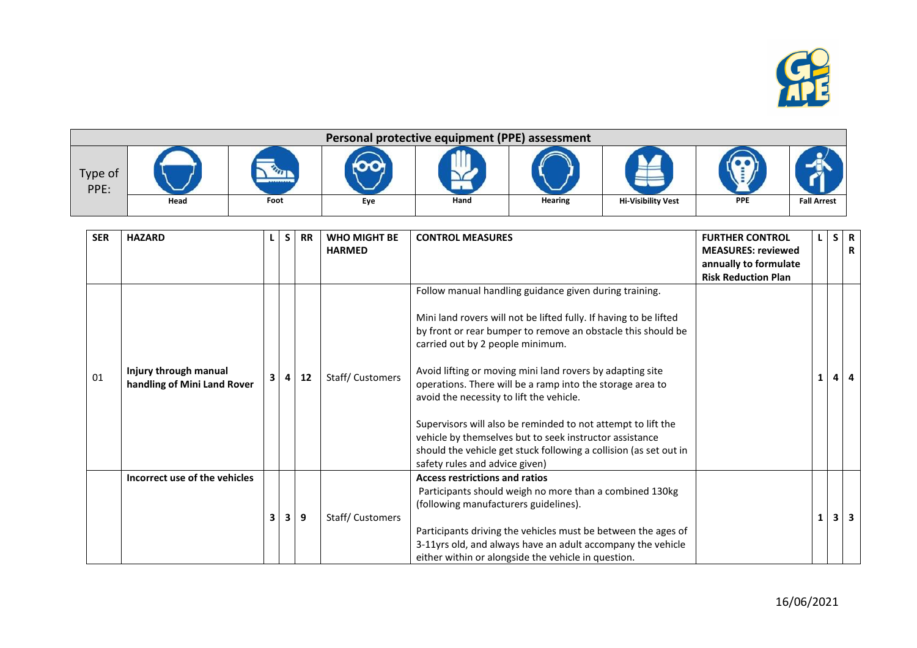

|                 | Personal protective equipment (PPE) assessment |                    |     |      |         |                           |            |                    |  |  |  |  |  |
|-----------------|------------------------------------------------|--------------------|-----|------|---------|---------------------------|------------|--------------------|--|--|--|--|--|
| Type of<br>PPE: | Head                                           | ----------<br>Foot | Eye | Hand | Hearing | <b>Hi-Visibility Vest</b> | <b>PPE</b> | <b>Fall Arrest</b> |  |  |  |  |  |

| <b>SER</b> | <b>HAZARD</b>                                        |    | S. | <b>RR</b> | <b>WHO MIGHT BE</b><br><b>HARMED</b> | <b>CONTROL MEASURES</b>                                                                                                                                                                                                                                                                                                                                                                                                                                                                                                                                                                                                                 | <b>FURTHER CONTROL</b><br><b>MEASURES: reviewed</b><br>annually to formulate<br><b>Risk Reduction Plan</b> | S | $\overline{\mathbf{R}}$<br>R |
|------------|------------------------------------------------------|----|----|-----------|--------------------------------------|-----------------------------------------------------------------------------------------------------------------------------------------------------------------------------------------------------------------------------------------------------------------------------------------------------------------------------------------------------------------------------------------------------------------------------------------------------------------------------------------------------------------------------------------------------------------------------------------------------------------------------------------|------------------------------------------------------------------------------------------------------------|---|------------------------------|
| 01         | Injury through manual<br>handling of Mini Land Rover | 3  |    | 12        | Staff/Customers                      | Follow manual handling guidance given during training.<br>Mini land rovers will not be lifted fully. If having to be lifted<br>by front or rear bumper to remove an obstacle this should be<br>carried out by 2 people minimum.<br>Avoid lifting or moving mini land rovers by adapting site<br>operations. There will be a ramp into the storage area to<br>avoid the necessity to lift the vehicle.<br>Supervisors will also be reminded to not attempt to lift the<br>vehicle by themselves but to seek instructor assistance<br>should the vehicle get stuck following a collision (as set out in<br>safety rules and advice given) |                                                                                                            |   |                              |
|            | Incorrect use of the vehicles                        | 3. | 3. | 9         | Staff/Customers                      | <b>Access restrictions and ratios</b><br>Participants should weigh no more than a combined 130kg<br>(following manufacturers guidelines).<br>Participants driving the vehicles must be between the ages of<br>3-11yrs old, and always have an adult accompany the vehicle<br>either within or alongside the vehicle in question.                                                                                                                                                                                                                                                                                                        |                                                                                                            |   |                              |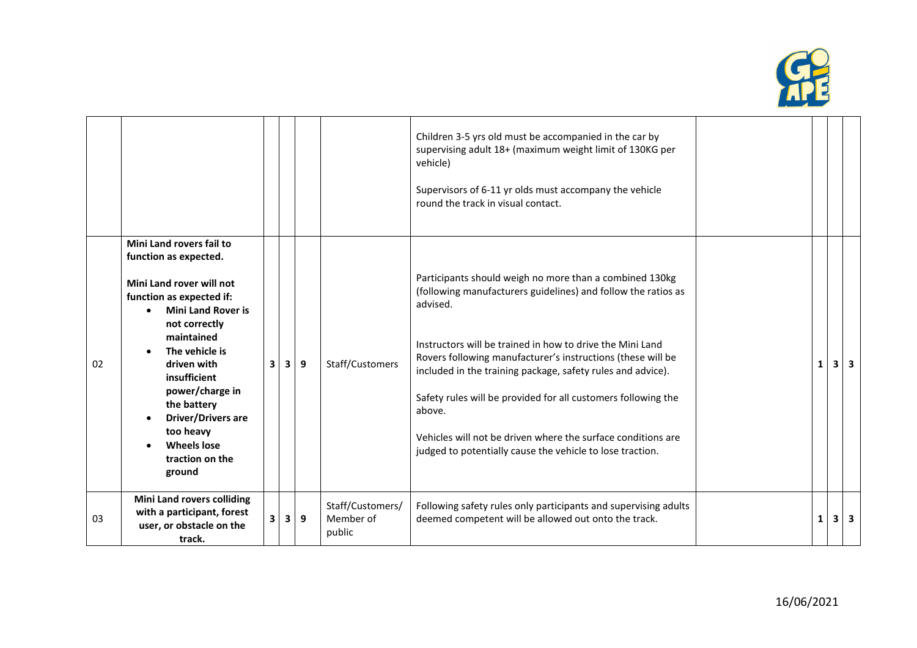

|    |                                                                                                                                                                                                                                                                                                                                                       |   |   |   |                                         | Children 3-5 yrs old must be accompanied in the car by<br>supervising adult 18+ (maximum weight limit of 130KG per<br>vehicle)<br>Supervisors of 6-11 yr olds must accompany the vehicle<br>round the track in visual contact.                                                                                                                                                                                                                                                                                                          |   |            |
|----|-------------------------------------------------------------------------------------------------------------------------------------------------------------------------------------------------------------------------------------------------------------------------------------------------------------------------------------------------------|---|---|---|-----------------------------------------|-----------------------------------------------------------------------------------------------------------------------------------------------------------------------------------------------------------------------------------------------------------------------------------------------------------------------------------------------------------------------------------------------------------------------------------------------------------------------------------------------------------------------------------------|---|------------|
| 02 | Mini Land rovers fail to<br>function as expected.<br>Mini Land rover will not<br>function as expected if:<br><b>Mini Land Rover is</b><br>not correctly<br>maintained<br>The vehicle is<br>driven with<br>insufficient<br>power/charge in<br>the battery<br><b>Driver/Drivers are</b><br>too heavy<br><b>Wheels lose</b><br>traction on the<br>ground | 3 | 3 | 9 | Staff/Customers                         | Participants should weigh no more than a combined 130kg<br>(following manufacturers guidelines) and follow the ratios as<br>advised.<br>Instructors will be trained in how to drive the Mini Land<br>Rovers following manufacturer's instructions (these will be<br>included in the training package, safety rules and advice).<br>Safety rules will be provided for all customers following the<br>above.<br>Vehicles will not be driven where the surface conditions are<br>judged to potentially cause the vehicle to lose traction. | 1 | $3 \mid 3$ |
| 03 | <b>Mini Land rovers colliding</b><br>with a participant, forest<br>user, or obstacle on the<br>track.                                                                                                                                                                                                                                                 | 3 | 3 | 9 | Staff/Customers/<br>Member of<br>public | Following safety rules only participants and supervising adults<br>deemed competent will be allowed out onto the track.                                                                                                                                                                                                                                                                                                                                                                                                                 | 1 | $3 \mid 3$ |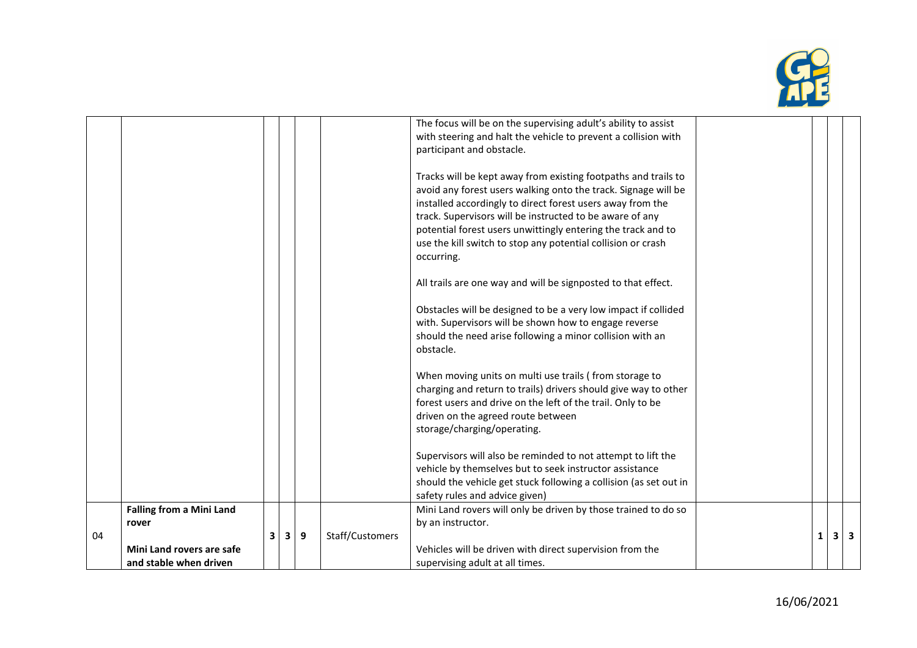

|    |                                 |   |   |   |                 | The focus will be on the supervising adult's ability to assist    |          |     |  |
|----|---------------------------------|---|---|---|-----------------|-------------------------------------------------------------------|----------|-----|--|
|    |                                 |   |   |   |                 |                                                                   |          |     |  |
|    |                                 |   |   |   |                 | with steering and halt the vehicle to prevent a collision with    |          |     |  |
|    |                                 |   |   |   |                 | participant and obstacle.                                         |          |     |  |
|    |                                 |   |   |   |                 |                                                                   |          |     |  |
|    |                                 |   |   |   |                 | Tracks will be kept away from existing footpaths and trails to    |          |     |  |
|    |                                 |   |   |   |                 | avoid any forest users walking onto the track. Signage will be    |          |     |  |
|    |                                 |   |   |   |                 | installed accordingly to direct forest users away from the        |          |     |  |
|    |                                 |   |   |   |                 | track. Supervisors will be instructed to be aware of any          |          |     |  |
|    |                                 |   |   |   |                 | potential forest users unwittingly entering the track and to      |          |     |  |
|    |                                 |   |   |   |                 | use the kill switch to stop any potential collision or crash      |          |     |  |
|    |                                 |   |   |   |                 |                                                                   |          |     |  |
|    |                                 |   |   |   |                 | occurring.                                                        |          |     |  |
|    |                                 |   |   |   |                 |                                                                   |          |     |  |
|    |                                 |   |   |   |                 | All trails are one way and will be signposted to that effect.     |          |     |  |
|    |                                 |   |   |   |                 | Obstacles will be designed to be a very low impact if collided    |          |     |  |
|    |                                 |   |   |   |                 | with. Supervisors will be shown how to engage reverse             |          |     |  |
|    |                                 |   |   |   |                 |                                                                   |          |     |  |
|    |                                 |   |   |   |                 | should the need arise following a minor collision with an         |          |     |  |
|    |                                 |   |   |   |                 | obstacle.                                                         |          |     |  |
|    |                                 |   |   |   |                 | When moving units on multi use trails (from storage to            |          |     |  |
|    |                                 |   |   |   |                 | charging and return to trails) drivers should give way to other   |          |     |  |
|    |                                 |   |   |   |                 | forest users and drive on the left of the trail. Only to be       |          |     |  |
|    |                                 |   |   |   |                 |                                                                   |          |     |  |
|    |                                 |   |   |   |                 | driven on the agreed route between                                |          |     |  |
|    |                                 |   |   |   |                 | storage/charging/operating.                                       |          |     |  |
|    |                                 |   |   |   |                 | Supervisors will also be reminded to not attempt to lift the      |          |     |  |
|    |                                 |   |   |   |                 | vehicle by themselves but to seek instructor assistance           |          |     |  |
|    |                                 |   |   |   |                 | should the vehicle get stuck following a collision (as set out in |          |     |  |
|    |                                 |   |   |   |                 | safety rules and advice given)                                    |          |     |  |
|    |                                 |   |   |   |                 |                                                                   |          |     |  |
|    | <b>Falling from a Mini Land</b> |   |   |   |                 | Mini Land rovers will only be driven by those trained to do so    |          |     |  |
|    | rover                           |   |   |   |                 | by an instructor.                                                 |          |     |  |
| 04 |                                 | 3 | 3 | 9 | Staff/Customers |                                                                   | $1\vert$ | 3 3 |  |
|    | Mini Land rovers are safe       |   |   |   |                 | Vehicles will be driven with direct supervision from the          |          |     |  |
|    | and stable when driven          |   |   |   |                 | supervising adult at all times.                                   |          |     |  |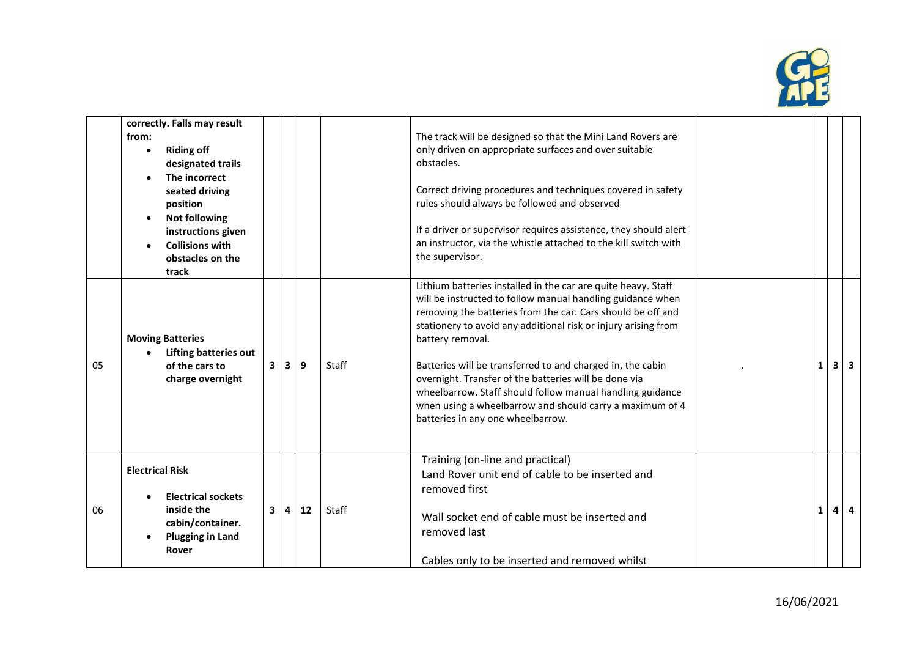

|    | correctly. Falls may result<br>from:<br><b>Riding off</b><br>designated trails<br>The incorrect<br>seated driving         |   |   |    |              | The track will be designed so that the Mini Land Rovers are<br>only driven on appropriate surfaces and over suitable<br>obstacles.<br>Correct driving procedures and techniques covered in safety                                                                                                                                                                                                                                                                                                                                                                     |              |            |
|----|---------------------------------------------------------------------------------------------------------------------------|---|---|----|--------------|-----------------------------------------------------------------------------------------------------------------------------------------------------------------------------------------------------------------------------------------------------------------------------------------------------------------------------------------------------------------------------------------------------------------------------------------------------------------------------------------------------------------------------------------------------------------------|--------------|------------|
|    | position<br><b>Not following</b><br>instructions given<br><b>Collisions with</b><br>obstacles on the<br>track             |   |   |    |              | rules should always be followed and observed<br>If a driver or supervisor requires assistance, they should alert<br>an instructor, via the whistle attached to the kill switch with<br>the supervisor.                                                                                                                                                                                                                                                                                                                                                                |              |            |
| 05 | <b>Moving Batteries</b><br><b>Lifting batteries out</b><br>of the cars to<br>charge overnight                             | 3 | 3 | 9  | <b>Staff</b> | Lithium batteries installed in the car are quite heavy. Staff<br>will be instructed to follow manual handling guidance when<br>removing the batteries from the car. Cars should be off and<br>stationery to avoid any additional risk or injury arising from<br>battery removal.<br>Batteries will be transferred to and charged in, the cabin<br>overnight. Transfer of the batteries will be done via<br>wheelbarrow. Staff should follow manual handling guidance<br>when using a wheelbarrow and should carry a maximum of 4<br>batteries in any one wheelbarrow. | $\mathbf{1}$ | $3 \mid 3$ |
| 06 | <b>Electrical Risk</b><br><b>Electrical sockets</b><br>inside the<br>cabin/container.<br><b>Plugging in Land</b><br>Rover | 3 | 4 | 12 | <b>Staff</b> | Training (on-line and practical)<br>Land Rover unit end of cable to be inserted and<br>removed first<br>Wall socket end of cable must be inserted and<br>removed last<br>Cables only to be inserted and removed whilst                                                                                                                                                                                                                                                                                                                                                | 1            | $4 \mid 4$ |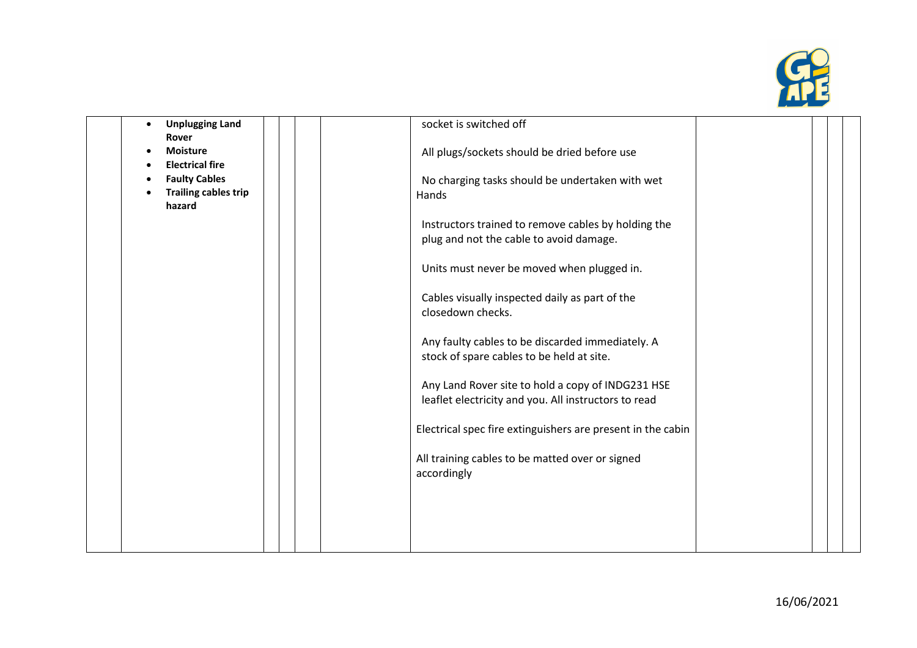

| <b>Unplugging Land</b>                         | socket is switched off                                                                                    |  |
|------------------------------------------------|-----------------------------------------------------------------------------------------------------------|--|
| Rover<br><b>Moisture</b>                       | All plugs/sockets should be dried before use                                                              |  |
| <b>Electrical fire</b><br><b>Faulty Cables</b> | No charging tasks should be undertaken with wet                                                           |  |
| <b>Trailing cables trip</b><br>hazard          | Hands                                                                                                     |  |
|                                                | Instructors trained to remove cables by holding the                                                       |  |
|                                                | plug and not the cable to avoid damage.                                                                   |  |
|                                                | Units must never be moved when plugged in.                                                                |  |
|                                                | Cables visually inspected daily as part of the<br>closedown checks.                                       |  |
|                                                | Any faulty cables to be discarded immediately. A<br>stock of spare cables to be held at site.             |  |
|                                                | Any Land Rover site to hold a copy of INDG231 HSE<br>leaflet electricity and you. All instructors to read |  |
|                                                | Electrical spec fire extinguishers are present in the cabin                                               |  |
|                                                | All training cables to be matted over or signed<br>accordingly                                            |  |
|                                                |                                                                                                           |  |
|                                                |                                                                                                           |  |
|                                                |                                                                                                           |  |